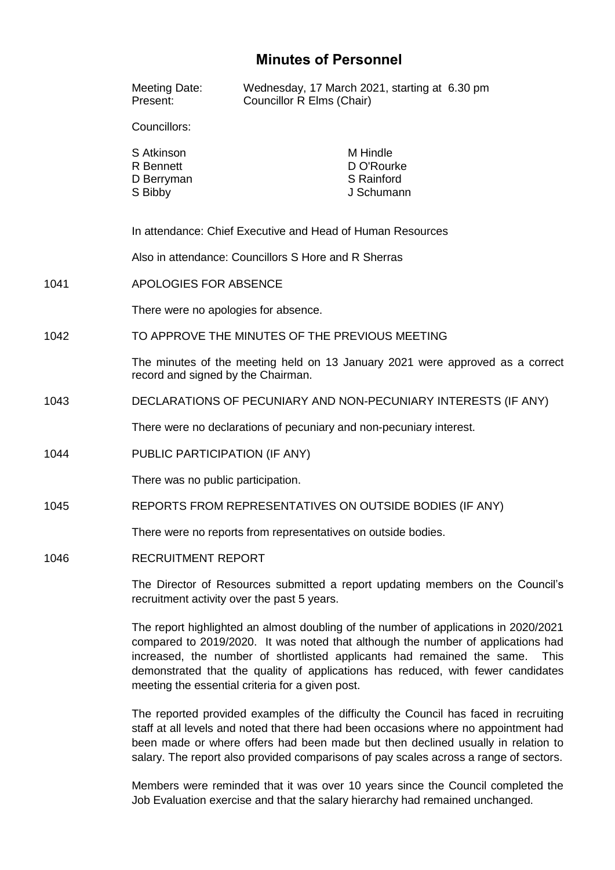# **Minutes of Personnel**

|      | Meeting Date:<br>Present:                                                                                                                                                                                                                                                                                                                                                                                 | Wednesday, 17 March 2021, starting at 6.30 pm<br>Councillor R Elms (Chair) |
|------|-----------------------------------------------------------------------------------------------------------------------------------------------------------------------------------------------------------------------------------------------------------------------------------------------------------------------------------------------------------------------------------------------------------|----------------------------------------------------------------------------|
|      | Councillors:                                                                                                                                                                                                                                                                                                                                                                                              |                                                                            |
|      | S Atkinson<br><b>R</b> Bennett<br>D Berryman<br>S Bibby                                                                                                                                                                                                                                                                                                                                                   | M Hindle<br>D O'Rourke<br>S Rainford<br>J Schumann                         |
|      | In attendance: Chief Executive and Head of Human Resources                                                                                                                                                                                                                                                                                                                                                |                                                                            |
|      |                                                                                                                                                                                                                                                                                                                                                                                                           | Also in attendance: Councillors S Hore and R Sherras                       |
| 1041 | APOLOGIES FOR ABSENCE                                                                                                                                                                                                                                                                                                                                                                                     |                                                                            |
|      | There were no apologies for absence.                                                                                                                                                                                                                                                                                                                                                                      |                                                                            |
| 1042 | TO APPROVE THE MINUTES OF THE PREVIOUS MEETING                                                                                                                                                                                                                                                                                                                                                            |                                                                            |
|      | The minutes of the meeting held on 13 January 2021 were approved as a correct<br>record and signed by the Chairman.                                                                                                                                                                                                                                                                                       |                                                                            |
| 1043 | DECLARATIONS OF PECUNIARY AND NON-PECUNIARY INTERESTS (IF ANY)                                                                                                                                                                                                                                                                                                                                            |                                                                            |
|      | There were no declarations of pecuniary and non-pecuniary interest.                                                                                                                                                                                                                                                                                                                                       |                                                                            |
| 1044 | PUBLIC PARTICIPATION (IF ANY)                                                                                                                                                                                                                                                                                                                                                                             |                                                                            |
|      | There was no public participation.                                                                                                                                                                                                                                                                                                                                                                        |                                                                            |
| 1045 | REPORTS FROM REPRESENTATIVES ON OUTSIDE BODIES (IF ANY)                                                                                                                                                                                                                                                                                                                                                   |                                                                            |
|      | There were no reports from representatives on outside bodies.                                                                                                                                                                                                                                                                                                                                             |                                                                            |
| 1046 | <b>RECRUITMENT REPORT</b>                                                                                                                                                                                                                                                                                                                                                                                 |                                                                            |
|      | The Director of Resources submitted a report updating members on the Council's<br>recruitment activity over the past 5 years.                                                                                                                                                                                                                                                                             |                                                                            |
|      | The report highlighted an almost doubling of the number of applications in 2020/2021<br>compared to 2019/2020. It was noted that although the number of applications had<br>increased, the number of shortlisted applicants had remained the same.<br><b>This</b><br>demonstrated that the quality of applications has reduced, with fewer candidates<br>meeting the essential criteria for a given post. |                                                                            |

The reported provided examples of the difficulty the Council has faced in recruiting staff at all levels and noted that there had been occasions where no appointment had been made or where offers had been made but then declined usually in relation to salary. The report also provided comparisons of pay scales across a range of sectors.

Members were reminded that it was over 10 years since the Council completed the Job Evaluation exercise and that the salary hierarchy had remained unchanged.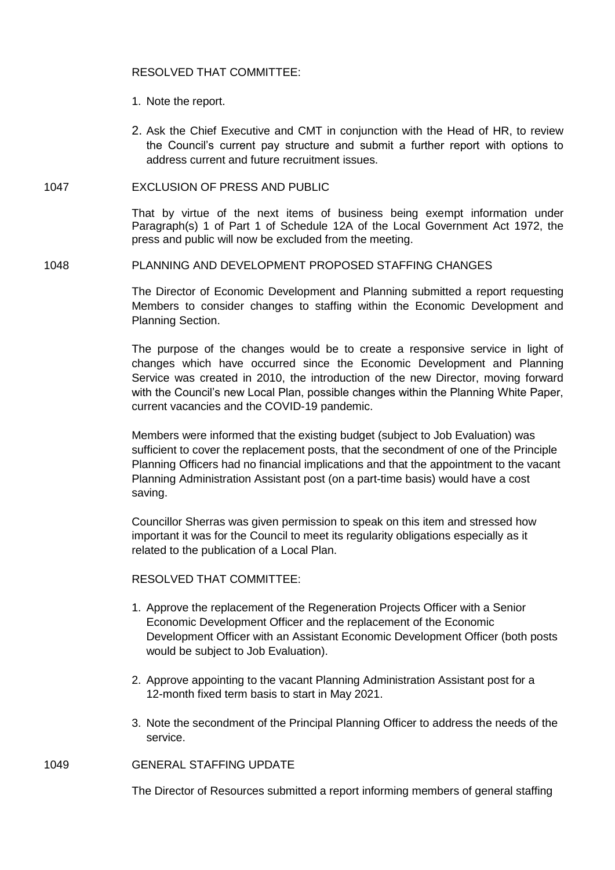## RESOLVED THAT COMMITTEE:

- 1. Note the report.
- 2. Ask the Chief Executive and CMT in conjunction with the Head of HR, to review the Council's current pay structure and submit a further report with options to address current and future recruitment issues.

## 1047 EXCLUSION OF PRESS AND PUBLIC

That by virtue of the next items of business being exempt information under Paragraph(s) 1 of Part 1 of Schedule 12A of the Local Government Act 1972, the press and public will now be excluded from the meeting.

#### 1048 PLANNING AND DEVELOPMENT PROPOSED STAFFING CHANGES

The Director of Economic Development and Planning submitted a report requesting Members to consider changes to staffing within the Economic Development and Planning Section.

The purpose of the changes would be to create a responsive service in light of changes which have occurred since the Economic Development and Planning Service was created in 2010, the introduction of the new Director, moving forward with the Council's new Local Plan, possible changes within the Planning White Paper, current vacancies and the COVID-19 pandemic.

Members were informed that the existing budget (subject to Job Evaluation) was sufficient to cover the replacement posts, that the secondment of one of the Principle Planning Officers had no financial implications and that the appointment to the vacant Planning Administration Assistant post (on a part-time basis) would have a cost saving.

Councillor Sherras was given permission to speak on this item and stressed how important it was for the Council to meet its regularity obligations especially as it related to the publication of a Local Plan.

## RESOLVED THAT COMMITTEE:

- 1. Approve the replacement of the Regeneration Projects Officer with a Senior Economic Development Officer and the replacement of the Economic Development Officer with an Assistant Economic Development Officer (both posts would be subject to Job Evaluation).
- 2. Approve appointing to the vacant Planning Administration Assistant post for a 12-month fixed term basis to start in May 2021.
- 3. Note the secondment of the Principal Planning Officer to address the needs of the service.

## 1049 GENERAL STAFFING UPDATE

The Director of Resources submitted a report informing members of general staffing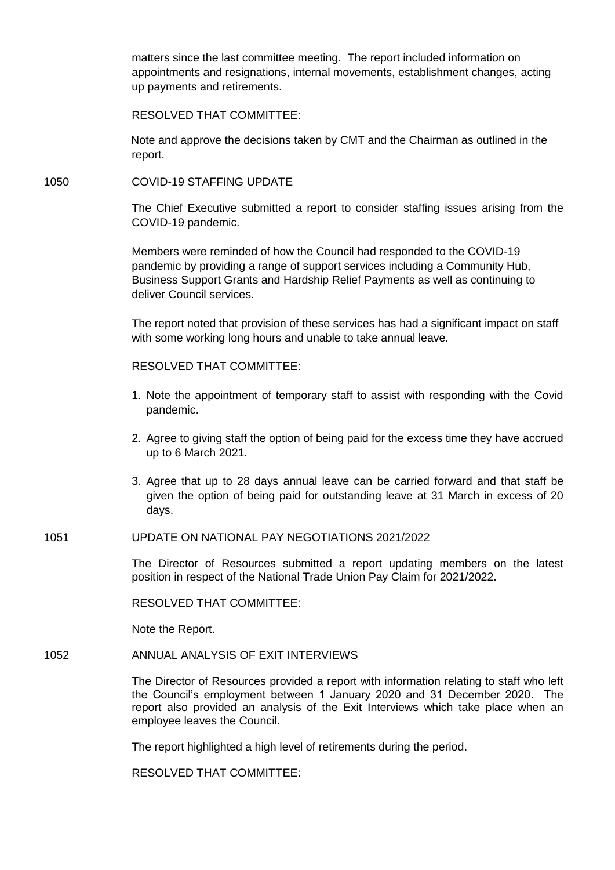matters since the last committee meeting. The report included information on appointments and resignations, internal movements, establishment changes, acting up payments and retirements.

RESOLVED THAT COMMITTEE:

Note and approve the decisions taken by CMT and the Chairman as outlined in the report.

#### 1050 COVID-19 STAFFING UPDATE

The Chief Executive submitted a report to consider staffing issues arising from the COVID-19 pandemic.

Members were reminded of how the Council had responded to the COVID-19 pandemic by providing a range of support services including a Community Hub, Business Support Grants and Hardship Relief Payments as well as continuing to deliver Council services.

The report noted that provision of these services has had a significant impact on staff with some working long hours and unable to take annual leave.

#### RESOLVED THAT COMMITTEE:

- 1. Note the appointment of temporary staff to assist with responding with the Covid pandemic.
- 2. Agree to giving staff the option of being paid for the excess time they have accrued up to 6 March 2021.
- 3. Agree that up to 28 days annual leave can be carried forward and that staff be given the option of being paid for outstanding leave at 31 March in excess of 20 days.

#### 1051 UPDATE ON NATIONAL PAY NEGOTIATIONS 2021/2022

The Director of Resources submitted a report updating members on the latest position in respect of the National Trade Union Pay Claim for 2021/2022.

RESOLVED THAT COMMITTEE:

Note the Report.

1052 ANNUAL ANALYSIS OF EXIT INTERVIEWS

The Director of Resources provided a report with information relating to staff who left the Council's employment between 1 January 2020 and 31 December 2020. The report also provided an analysis of the Exit Interviews which take place when an employee leaves the Council.

The report highlighted a high level of retirements during the period.

RESOLVED THAT COMMITTEE: